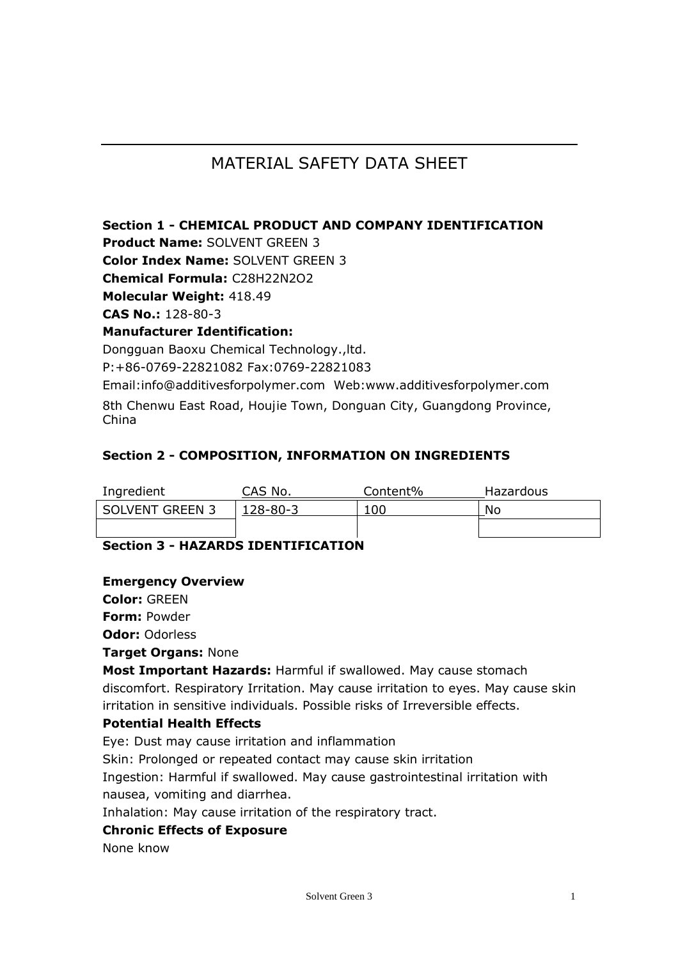# MATERIAL SAFETY DATA SHEET

### **Section 1 - CHEMICAL PRODUCT AND COMPANY IDENTIFICATION**

**Product Name:** SOLVENT GREEN 3

**Color Index Name: SOLVENT GREEN 3** 

**Chemical Formula:** C28H22N2O2

**Molecular Weight:** 418.49

**CAS No.:** 128-80-3

### **Manufacturer Identification:**

Dongguan Baoxu Chemical Technology.,ltd. P:+86-0769-22821082 Fax:0769-22821083

Email:info@additivesforpolymer.com Web:www.additivesforpolymer.com 8th Chenwu East Road, Houjie Town, Donguan City, Guangdong Province, China

### **Section 2 - COMPOSITION, INFORMATION ON INGREDIENTS**

| Ingredient             | CAS No.  | Content% | Hazardous |
|------------------------|----------|----------|-----------|
| <b>SOLVENT GREEN 3</b> | 128-80-3 | 100      | No        |
|                        |          |          |           |

## **Section 3 - HAZARDS IDENTIFICATION**

### **Emergency Overview**

**Color:** GREEN

**Form:** Powder

**Odor:** Odorless

#### **Target Organs:** None

**Most Important Hazards:** Harmful if swallowed. May cause stomach discomfort. Respiratory Irritation. May cause irritation to eyes. May cause skin irritation in sensitive individuals. Possible risks of Irreversible effects.

### **Potential Health Effects**

Eye: Dust may cause irritation and inflammation

Skin: Prolonged or repeated contact may cause skin irritation

Ingestion: Harmful if swallowed. May cause gastrointestinal irritation with nausea, vomiting and diarrhea.

Inhalation: May cause irritation of the respiratory tract.

#### **Chronic Effects of Exposure**

None know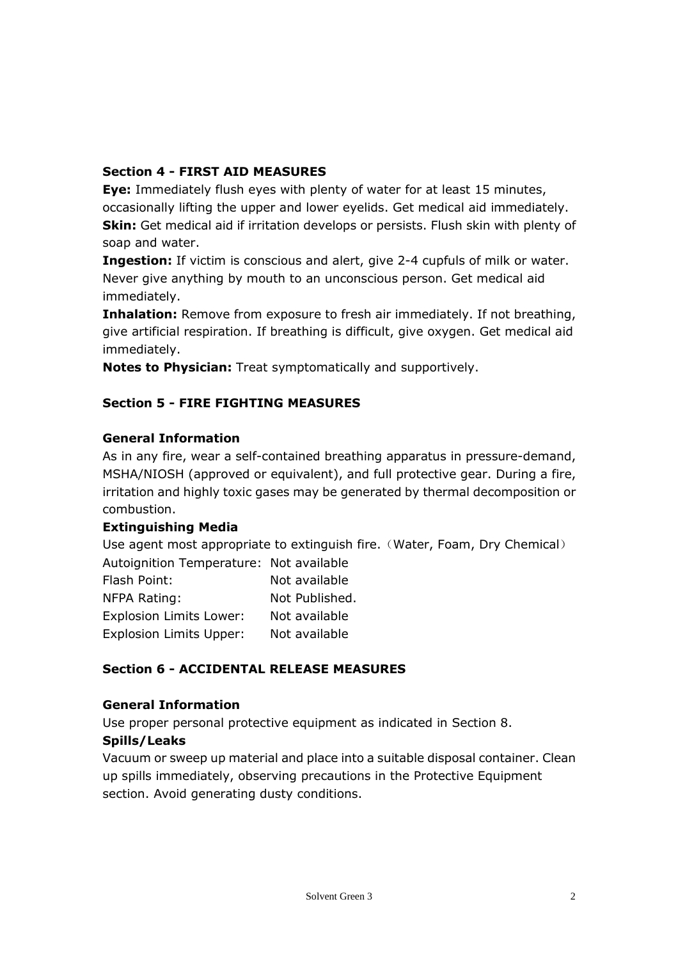## **Section 4 - FIRST AID MEASURES**

**Eye:** Immediately flush eyes with plenty of water for at least 15 minutes, occasionally lifting the upper and lower eyelids. Get medical aid immediately. **Skin:** Get medical aid if irritation develops or persists. Flush skin with plenty of soap and water.

**Ingestion:** If victim is conscious and alert, give 2-4 cupfuls of milk or water. Never give anything by mouth to an unconscious person. Get medical aid immediately.

**Inhalation:** Remove from exposure to fresh air immediately. If not breathing, give artificial respiration. If breathing is difficult, give oxygen. Get medical aid immediately.

**Notes to Physician:** Treat symptomatically and supportively.

## **Section 5 - FIRE FIGHTING MEASURES**

### **General Information**

As in any fire, wear a self-contained breathing apparatus in pressure-demand, MSHA/NIOSH (approved or equivalent), and full protective gear. During a fire, irritation and highly toxic gases may be generated by thermal decomposition or combustion.

### **Extinguishing Media**

Use agent most appropriate to extinguish fire. (Water, Foam, Dry Chemical) Autoignition Temperature: Not available Flash Point: Not available

| TIASII FUIIL.                  | <b>INUL AVAIIADIC</b> |
|--------------------------------|-----------------------|
| NFPA Rating:                   | Not Published.        |
| <b>Explosion Limits Lower:</b> | Not available         |
| <b>Explosion Limits Upper:</b> | Not available         |
|                                |                       |

## **Section 6 - ACCIDENTAL RELEASE MEASURES**

### **General Information**

Use proper personal protective equipment as indicated in Section 8.

### **Spills/Leaks**

Vacuum or sweep up material and place into a suitable disposal container. Clean up spills immediately, observing precautions in the Protective Equipment section. Avoid generating dusty conditions.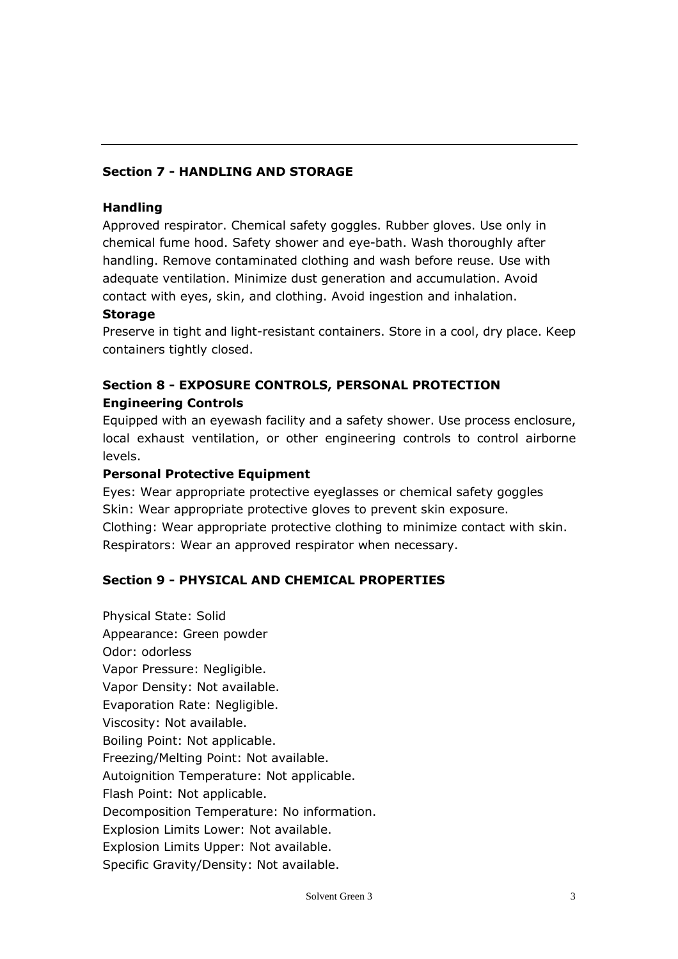## **Section 7 - HANDLING AND STORAGE**

#### **Handling**

Approved respirator. Chemical safety goggles. Rubber gloves. Use only in chemical fume hood. Safety shower and eye-bath. Wash thoroughly after handling. Remove contaminated clothing and wash before reuse. Use with adequate ventilation. Minimize dust generation and accumulation. Avoid contact with eyes, skin, and clothing. Avoid ingestion and inhalation.

#### **Storage**

Preserve in tight and light-resistant containers. Store in a cool, dry place. Keep containers tightly closed.

## **Section 8 - EXPOSURE CONTROLS, PERSONAL PROTECTION Engineering Controls**

Equipped with an eyewash facility and a safety shower. Use process enclosure, local exhaust ventilation, or other engineering controls to control airborne levels.

#### **Personal Protective Equipment**

Eyes: Wear appropriate protective eyeglasses or chemical safety goggles Skin: Wear appropriate protective gloves to prevent skin exposure. Clothing: Wear appropriate protective clothing to minimize contact with skin. Respirators: Wear an approved respirator when necessary.

### **Section 9 - PHYSICAL AND CHEMICAL PROPERTIES**

Physical State: Solid Appearance: Green powder Odor: odorless Vapor Pressure: Negligible. Vapor Density: Not available. Evaporation Rate: Negligible. Viscosity: Not available. Boiling Point: Not applicable. Freezing/Melting Point: Not available. Autoignition Temperature: Not applicable. Flash Point: Not applicable. Decomposition Temperature: No information. Explosion Limits Lower: Not available. Explosion Limits Upper: Not available. Specific Gravity/Density: Not available.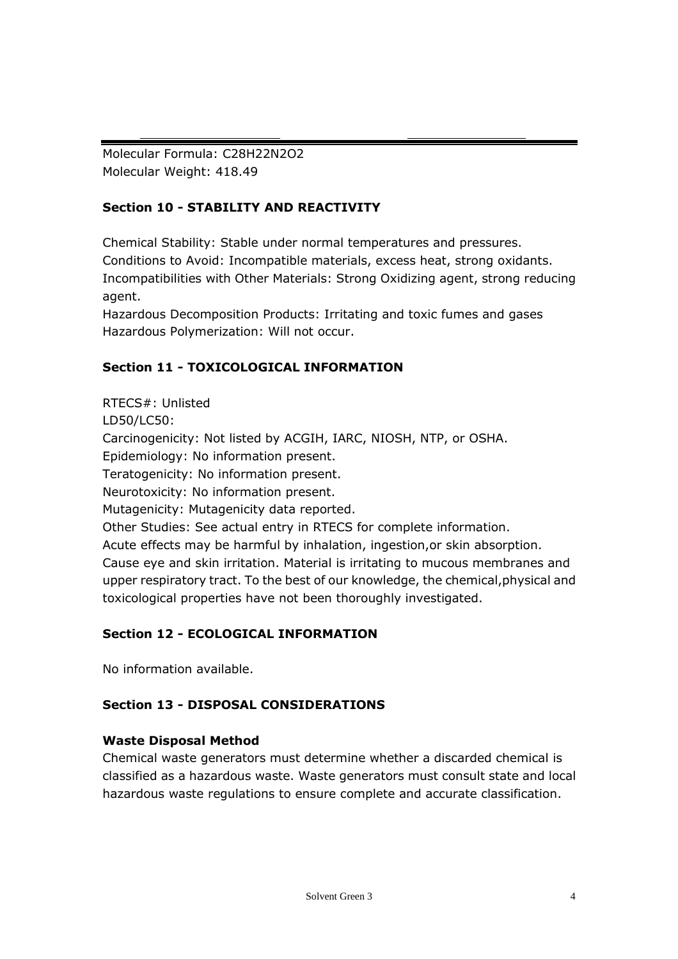Molecular Formula: C28H22N2O2 Molecular Weight: 418.49

## **Section 10 - STABILITY AND REACTIVITY**

Chemical Stability: Stable under normal temperatures and pressures. Conditions to Avoid: Incompatible materials, excess heat, strong oxidants. Incompatibilities with Other Materials: Strong Oxidizing agent, strong reducing agent.

Hazardous Decomposition Products: Irritating and toxic fumes and gases Hazardous Polymerization: Will not occur.

## **Section 11 - TOXICOLOGICAL INFORMATION**

RTECS#: Unlisted LD50/LC50: Carcinogenicity: Not listed by ACGIH, IARC, NIOSH, NTP, or OSHA. Epidemiology: No information present. Teratogenicity: No information present. Neurotoxicity: No information present. Mutagenicity: Mutagenicity data reported. Other Studies: See actual entry in RTECS for complete information. Acute effects may be harmful by inhalation, ingestion,or skin absorption. Cause eye and skin irritation. Material is irritating to mucous membranes and upper respiratory tract. To the best of our knowledge, the chemical,physical and toxicological properties have not been thoroughly investigated.

## **Section 12 - ECOLOGICAL INFORMATION**

No information available.

## **Section 13 - DISPOSAL CONSIDERATIONS**

## **Waste Disposal Method**

Chemical waste generators must determine whether a discarded chemical is classified as a hazardous waste. Waste generators must consult state and local hazardous waste regulations to ensure complete and accurate classification.